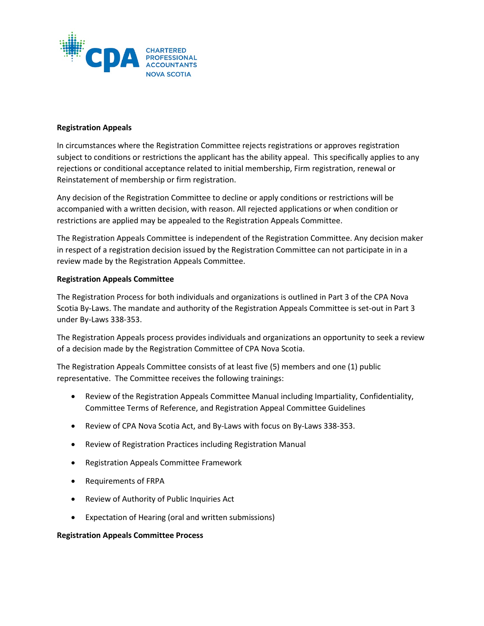

## **Registration Appeals**

In circumstances where the Registration Committee rejects registrations or approves registration subject to conditions or restrictions the applicant has the ability appeal. This specifically applies to any rejections or conditional acceptance related to initial membership, Firm registration, renewal or Reinstatement of membership or firm registration.

Any decision of the Registration Committee to decline or apply conditions or restrictions will be accompanied with a written decision, with reason. All rejected applications or when condition or restrictions are applied may be appealed to the Registration Appeals Committee.

The Registration Appeals Committee is independent of the Registration Committee. Any decision maker in respect of a registration decision issued by the Registration Committee can not participate in in a review made by the Registration Appeals Committee.

## **Registration Appeals Committee**

The Registration Process for both individuals and organizations is outlined in Part 3 of the CPA Nova Scotia By-Laws. The mandate and authority of the Registration Appeals Committee is set-out in Part 3 under By-Laws 338-353.

The Registration Appeals process provides individuals and organizations an opportunity to seek a review of a decision made by the Registration Committee of CPA Nova Scotia.

The Registration Appeals Committee consists of at least five (5) members and one (1) public representative. The Committee receives the following trainings:

- Review of the Registration Appeals Committee Manual including Impartiality, Confidentiality, Committee Terms of Reference, and Registration Appeal Committee Guidelines
- Review of CPA Nova Scotia Act, and By-Laws with focus on By-Laws 338-353.
- Review of Registration Practices including Registration Manual
- Registration Appeals Committee Framework
- Requirements of FRPA
- Review of Authority of Public Inquiries Act
- Expectation of Hearing (oral and written submissions)

## **Registration Appeals Committee Process**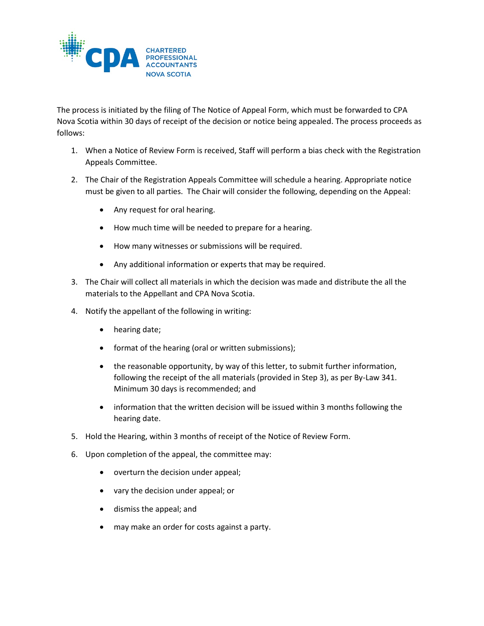

The process is initiated by the filing of The Notice of Appeal Form, which must be forwarded to CPA Nova Scotia within 30 days of receipt of the decision or notice being appealed. The process proceeds as follows:

- 1. When a Notice of Review Form is received, Staff will perform a bias check with the Registration Appeals Committee.
- 2. The Chair of the Registration Appeals Committee will schedule a hearing. Appropriate notice must be given to all parties. The Chair will consider the following, depending on the Appeal:
	- Any request for oral hearing.
	- How much time will be needed to prepare for a hearing.
	- How many witnesses or submissions will be required.
	- Any additional information or experts that may be required.
- 3. The Chair will collect all materials in which the decision was made and distribute the all the materials to the Appellant and CPA Nova Scotia.
- 4. Notify the appellant of the following in writing:
	- hearing date;
	- format of the hearing (oral or written submissions);
	- the reasonable opportunity, by way of this letter, to submit further information, following the receipt of the all materials (provided in Step 3), as per By-Law 341. Minimum 30 days is recommended; and
	- information that the written decision will be issued within 3 months following the hearing date.
- 5. Hold the Hearing, within 3 months of receipt of the Notice of Review Form.
- 6. Upon completion of the appeal, the committee may:
	- overturn the decision under appeal;
	- vary the decision under appeal; or
	- dismiss the appeal; and
	- may make an order for costs against a party.